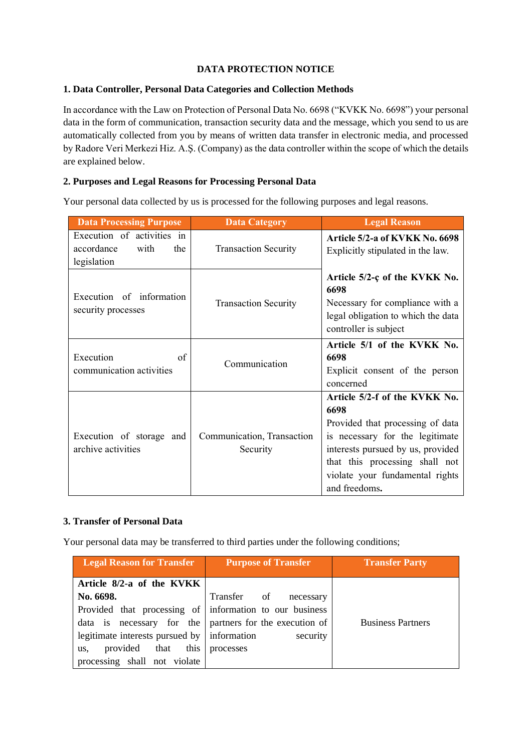# **DATA PROTECTION NOTICE**

### **1. Data Controller, Personal Data Categories and Collection Methods**

In accordance with the Law on Protection of Personal Data No. 6698 ("KVKK No. 6698") your personal data in the form of communication, transaction security data and the message, which you send to us are automatically collected from you by means of written data transfer in electronic media, and processed by Radore Veri Merkezi Hiz. A.Ş. (Company) as the data controller within the scope of which the details are explained below.

## **2. Purposes and Legal Reasons for Processing Personal Data**

Your personal data collected by us is processed for the following purposes and legal reasons.

| <b>Data Processing Purpose</b>                                         | <b>Data Category</b>                   | <b>Legal Reason</b>                                                                                                                                                                                                                     |
|------------------------------------------------------------------------|----------------------------------------|-----------------------------------------------------------------------------------------------------------------------------------------------------------------------------------------------------------------------------------------|
| Execution of activities in<br>accordance<br>with<br>the<br>legislation | <b>Transaction Security</b>            | Article 5/2-a of KVKK No. 6698<br>Explicitly stipulated in the law.                                                                                                                                                                     |
| Execution of information<br>security processes                         | <b>Transaction Security</b>            | Article $5/2$ -c of the KVKK No.<br>6698<br>Necessary for compliance with a<br>legal obligation to which the data<br>controller is subject                                                                                              |
| Execution<br>of<br>communication activities                            | Communication                          | Article 5/1 of the KVKK No.<br>6698<br>Explicit consent of the person<br>concerned                                                                                                                                                      |
| Execution of storage and<br>archive activities                         | Communication, Transaction<br>Security | Article 5/2-f of the KVKK No.<br>6698<br>Provided that processing of data<br>is necessary for the legitimate<br>interests pursued by us, provided<br>that this processing shall not<br>violate your fundamental rights<br>and freedoms. |

## **3. Transfer of Personal Data**

Your personal data may be transferred to third parties under the following conditions;

| <b>Legal Reason for Transfer</b>                        | <b>Purpose of Transfer</b> | <b>Transfer Party</b>    |
|---------------------------------------------------------|----------------------------|--------------------------|
| Article 8/2-a of the KVKK                               |                            |                          |
| No. 6698.                                               | Transfer of<br>necessary   |                          |
| Provided that processing of information to our business |                            |                          |
| data is necessary for the partners for the execution of |                            | <b>Business Partners</b> |
| legitimate interests pursued by information             | security                   |                          |
| this  <br>provided that<br>us.                          | processes                  |                          |
| processing shall not violate                            |                            |                          |